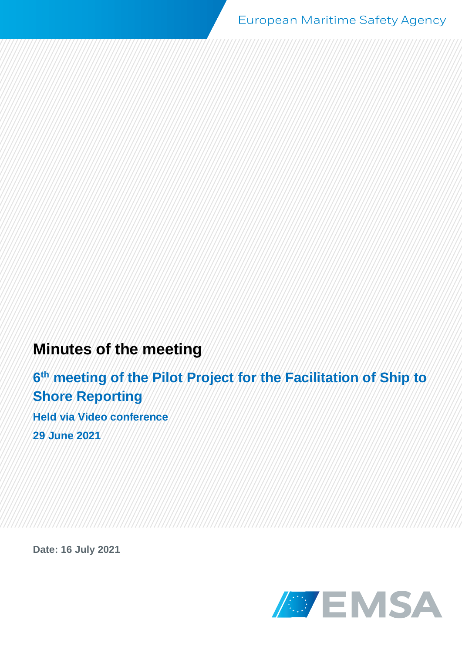# **Minutes of the meeting**

**6 th meeting of the Pilot Project for the Facilitation of Ship to Shore Reporting Held via Video conference 29 June 2021**

**Date: 16 July 2021**

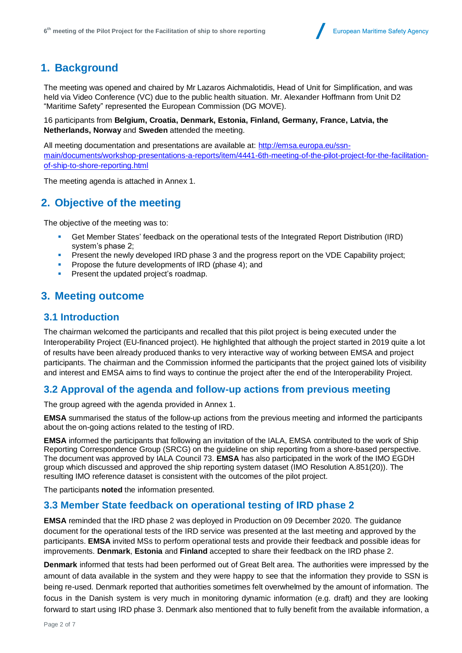

## **1. Background**

The meeting was opened and chaired by Mr Lazaros Aichmalotidis, Head of Unit for Simplification, and was held via Video Conference (VC) due to the public health situation. Mr. Alexander Hoffmann from Unit D2 "Maritime Safety" represented the European Commission (DG MOVE).

16 participants from **Belgium, Croatia, Denmark, Estonia, Finland, Germany, France, Latvia, the Netherlands, Norway** and **Sweden** attended the meeting.

All meeting documentation and presentations are available at: [http://emsa.europa.eu/ssn](http://emsa.europa.eu/ssn-main/documents/workshop-presentations-a-reports/item/4441-6th-meeting-of-the-pilot-project-for-the-facilitation-of-ship-to-shore-reporting.html)[main/documents/workshop-presentations-a-reports/item/4441-6th-meeting-of-the-pilot-project-for-the-facilitation](http://emsa.europa.eu/ssn-main/documents/workshop-presentations-a-reports/item/4441-6th-meeting-of-the-pilot-project-for-the-facilitation-of-ship-to-shore-reporting.html)[of-ship-to-shore-reporting.html](http://emsa.europa.eu/ssn-main/documents/workshop-presentations-a-reports/item/4441-6th-meeting-of-the-pilot-project-for-the-facilitation-of-ship-to-shore-reporting.html)

The meeting agenda is attached in Annex 1.

### **2. Objective of the meeting**

The objective of the meeting was to:

- Get Member States' feedback on the operational tests of the Integrated Report Distribution (IRD) system's phase 2;
- Present the newly developed IRD phase 3 and the progress report on the VDE Capability project;
- Propose the future developments of IRD (phase 4); and
- Present the updated project's roadmap.

### **3. Meeting outcome**

#### **3.1 Introduction**

The chairman welcomed the participants and recalled that this pilot project is being executed under the Interoperability Project (EU-financed project). He highlighted that although the project started in 2019 quite a lot of results have been already produced thanks to very interactive way of working between EMSA and project participants. The chairman and the Commission informed the participants that the project gained lots of visibility and interest and EMSA aims to find ways to continue the project after the end of the Interoperability Project.

#### **3.2 Approval of the agenda and follow-up actions from previous meeting**

The group agreed with the agenda provided in Annex 1.

**EMSA** summarised the status of the follow-up actions from the previous meeting and informed the participants about the on-going actions related to the testing of IRD.

**EMSA** informed the participants that following an invitation of the IALA, EMSA contributed to the work of Ship Reporting Correspondence Group (SRCG) on the guideline on ship reporting from a shore-based perspective. The document was approved by IALA Council 73. **EMSA** has also participated in the work of the IMO EGDH group which discussed and approved the ship reporting system dataset (IMO Resolution A.851(20)). The resulting IMO reference dataset is consistent with the outcomes of the pilot project.

The participants **noted** the information presented.

#### **3.3 Member State feedback on operational testing of IRD phase 2**

**EMSA** reminded that the IRD phase 2 was deployed in Production on 09 December 2020. The guidance document for the operational tests of the IRD service was presented at the last meeting and approved by the participants. **EMSA** invited MSs to perform operational tests and provide their feedback and possible ideas for improvements. **Denmark**, **Estonia** and **Finland** accepted to share their feedback on the IRD phase 2.

**Denmark** informed that tests had been performed out of Great Belt area. The authorities were impressed by the amount of data available in the system and they were happy to see that the information they provide to SSN is being re-used. Denmark reported that authorities sometimes felt overwhelmed by the amount of information. The focus in the Danish system is very much in monitoring dynamic information (e.g. draft) and they are looking forward to start using IRD phase 3. Denmark also mentioned that to fully benefit from the available information, a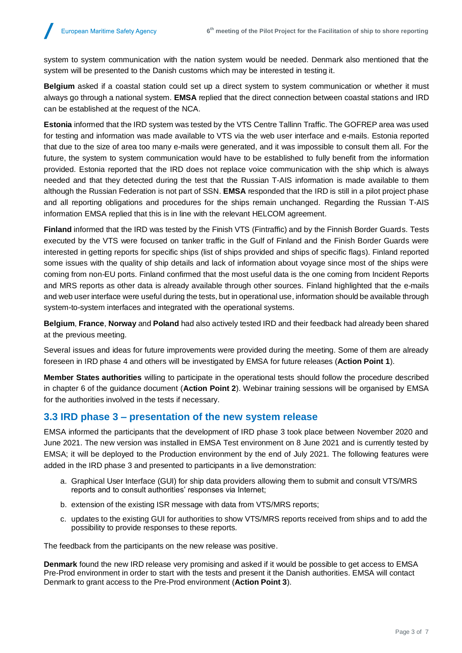system to system communication with the nation system would be needed. Denmark also mentioned that the system will be presented to the Danish customs which may be interested in testing it.

**Belgium** asked if a coastal station could set up a direct system to system communication or whether it must always go through a national system. **EMSA** replied that the direct connection between coastal stations and IRD can be established at the request of the NCA.

**Estonia** informed that the IRD system was tested by the VTS Centre Tallinn Traffic. The GOFREP area was used for testing and information was made available to VTS via the web user interface and e-mails. Estonia reported that due to the size of area too many e-mails were generated, and it was impossible to consult them all. For the future, the system to system communication would have to be established to fully benefit from the information provided. Estonia reported that the IRD does not replace voice communication with the ship which is always needed and that they detected during the test that the Russian T-AIS information is made available to them although the Russian Federation is not part of SSN. **EMSA** responded that the IRD is still in a pilot project phase and all reporting obligations and procedures for the ships remain unchanged. Regarding the Russian T-AIS information EMSA replied that this is in line with the relevant HELCOM agreement.

**Finland** informed that the IRD was tested by the Finish VTS (Fintraffic) and by the Finnish Border Guards. Tests executed by the VTS were focused on tanker traffic in the Gulf of Finland and the Finish Border Guards were interested in getting reports for specific ships (list of ships provided and ships of specific flags). Finland reported some issues with the quality of ship details and lack of information about voyage since most of the ships were coming from non-EU ports. Finland confirmed that the most useful data is the one coming from Incident Reports and MRS reports as other data is already available through other sources. Finland highlighted that the e-mails and web user interface were useful during the tests, but in operational use, information should be available through system-to-system interfaces and integrated with the operational systems.

**Belgium**, **France**, **Norway** and **Poland** had also actively tested IRD and their feedback had already been shared at the previous meeting.

Several issues and ideas for future improvements were provided during the meeting. Some of them are already foreseen in IRD phase 4 and others will be investigated by EMSA for future releases (**Action Point 1**).

**Member States authorities** willing to participate in the operational tests should follow the procedure described in chapter 6 of the guidance document (**Action Point 2**). Webinar training sessions will be organised by EMSA for the authorities involved in the tests if necessary.

#### **3.3 IRD phase 3 – presentation of the new system release**

EMSA informed the participants that the development of IRD phase 3 took place between November 2020 and June 2021. The new version was installed in EMSA Test environment on 8 June 2021 and is currently tested by EMSA; it will be deployed to the Production environment by the end of July 2021. The following features were added in the IRD phase 3 and presented to participants in a live demonstration:

- a. Graphical User Interface (GUI) for ship data providers allowing them to submit and consult VTS/MRS reports and to consult authorities' responses via Internet;
- b. extension of the existing ISR message with data from VTS/MRS reports;
- c. updates to the existing GUI for authorities to show VTS/MRS reports received from ships and to add the possibility to provide responses to these reports.

The feedback from the participants on the new release was positive.

**Denmark** found the new IRD release very promising and asked if it would be possible to get access to EMSA Pre-Prod environment in order to start with the tests and present it the Danish authorities. EMSA will contact Denmark to grant access to the Pre-Prod environment (**Action Point 3**).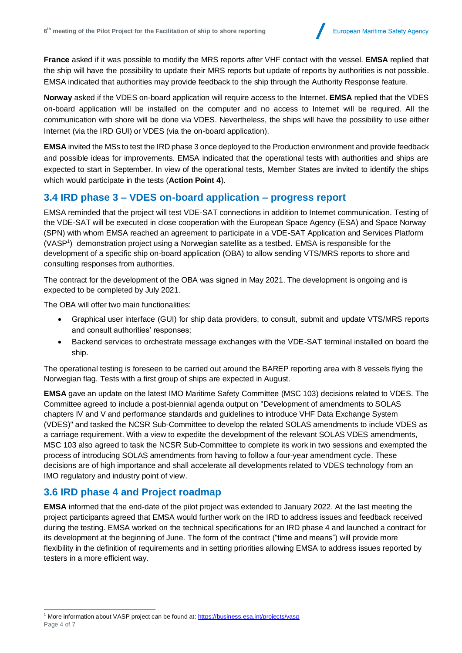**France** asked if it was possible to modify the MRS reports after VHF contact with the vessel. **EMSA** replied that the ship will have the possibility to update their MRS reports but update of reports by authorities is not possible. EMSA indicated that authorities may provide feedback to the ship through the Authority Response feature.

**Norway** asked if the VDES on-board application will require access to the Internet. **EMSA** replied that the VDES on-board application will be installed on the computer and no access to Internet will be required. All the communication with shore will be done via VDES. Nevertheless, the ships will have the possibility to use either Internet (via the IRD GUI) or VDES (via the on-board application).

**EMSA** invited the MSs to test the IRD phase 3 once deployed to the Production environment and provide feedback and possible ideas for improvements. EMSA indicated that the operational tests with authorities and ships are expected to start in September. In view of the operational tests, Member States are invited to identify the ships which would participate in the tests (**Action Point 4**).

### **3.4 IRD phase 3 – VDES on-board application – progress report**

EMSA reminded that the project will test VDE-SAT connections in addition to Internet communication. Testing of the VDE-SAT will be executed in close cooperation with the European Space Agency (ESA) and Space Norway (SPN) with whom EMSA reached an agreement to participate in a VDE-SAT Application and Services Platform (VASP<sup>1</sup> ) demonstration project using a Norwegian satellite as a testbed. EMSA is responsible for the development of a specific ship on-board application (OBA) to allow sending VTS/MRS reports to shore and consulting responses from authorities.

The contract for the development of the OBA was signed in May 2021. The development is ongoing and is expected to be completed by July 2021.

The OBA will offer two main functionalities:

- Graphical user interface (GUI) for ship data providers, to consult, submit and update VTS/MRS reports and consult authorities' responses;
- Backend services to orchestrate message exchanges with the VDE-SAT terminal installed on board the ship.

The operational testing is foreseen to be carried out around the BAREP reporting area with 8 vessels flying the Norwegian flag. Tests with a first group of ships are expected in August.

**EMSA** gave an update on the latest IMO Maritime Safety Committee (MSC 103) decisions related to VDES. The Committee agreed to include a post-biennial agenda output on "Development of amendments to SOLAS chapters IV and V and performance standards and guidelines to introduce VHF Data Exchange System (VDES)" and tasked the NCSR Sub-Committee to develop the related SOLAS amendments to include VDES as a carriage requirement. With a view to expedite the development of the relevant SOLAS VDES amendments, MSC 103 also agreed to task the NCSR Sub-Committee to complete its work in two sessions and exempted the process of introducing SOLAS amendments from having to follow a four-year amendment cycle. These decisions are of high importance and shall accelerate all developments related to VDES technology from an IMO regulatory and industry point of view.

### **3.6 IRD phase 4 and Project roadmap**

**EMSA** informed that the end-date of the pilot project was extended to January 2022. At the last meeting the project participants agreed that EMSA would further work on the IRD to address issues and feedback received during the testing. EMSA worked on the technical specifications for an IRD phase 4 and launched a contract for its development at the beginning of June. The form of the contract ("time and means") will provide more flexibility in the definition of requirements and in setting priorities allowing EMSA to address issues reported by testers in a more efficient way.

Page 4 of 7 <sup>1</sup> More information about VASP project can be found at:<https://business.esa.int/projects/vasp>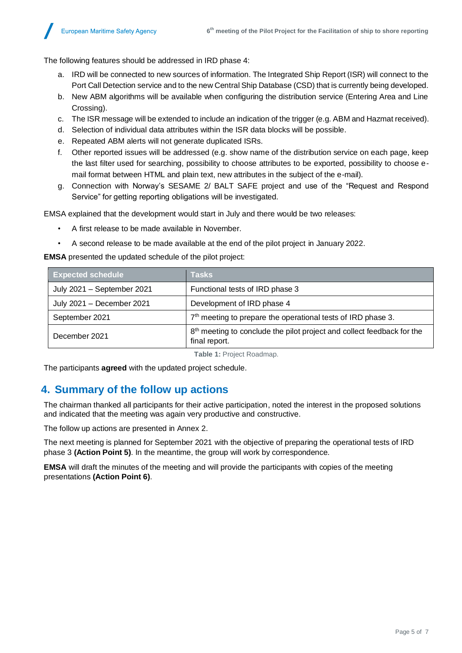The following features should be addressed in IRD phase 4:

- a. IRD will be connected to new sources of information. The Integrated Ship Report (ISR) will connect to the Port Call Detection service and to the new Central Ship Database (CSD) that is currently being developed.
- b. New ABM algorithms will be available when configuring the distribution service (Entering Area and Line Crossing).
- c. The ISR message will be extended to include an indication of the trigger (e.g. ABM and Hazmat received).
- d. Selection of individual data attributes within the ISR data blocks will be possible.
- e. Repeated ABM alerts will not generate duplicated ISRs.
- f. Other reported issues will be addressed (e.g. show name of the distribution service on each page, keep the last filter used for searching, possibility to choose attributes to be exported, possibility to choose email format between HTML and plain text, new attributes in the subject of the e-mail).
- g. Connection with Norway's SESAME 2/ BALT SAFE project and use of the "Request and Respond Service" for getting reporting obligations will be investigated.

EMSA explained that the development would start in July and there would be two releases:

- A first release to be made available in November.
- A second release to be made available at the end of the pilot project in January 2022.

**EMSA** presented the updated schedule of the pilot project:

| <b>Expected schedule</b>   | <b>Tasks</b>                                                                                        |
|----------------------------|-----------------------------------------------------------------------------------------------------|
| July 2021 - September 2021 | Functional tests of IRD phase 3                                                                     |
| July 2021 - December 2021  | Development of IRD phase 4                                                                          |
| September 2021             | 7 <sup>th</sup> meeting to prepare the operational tests of IRD phase 3.                            |
| December 2021              | 8 <sup>th</sup> meeting to conclude the pilot project and collect feedback for the<br>final report. |

**Table 1:** Project Roadmap.

The participants **agreed** with the updated project schedule.

## **4. Summary of the follow up actions**

The chairman thanked all participants for their active participation, noted the interest in the proposed solutions and indicated that the meeting was again very productive and constructive.

The follow up actions are presented in Annex 2.

The next meeting is planned for September 2021 with the objective of preparing the operational tests of IRD phase 3 **(Action Point 5)**. In the meantime, the group will work by correspondence.

**EMSA** will draft the minutes of the meeting and will provide the participants with copies of the meeting presentations **(Action Point 6)**.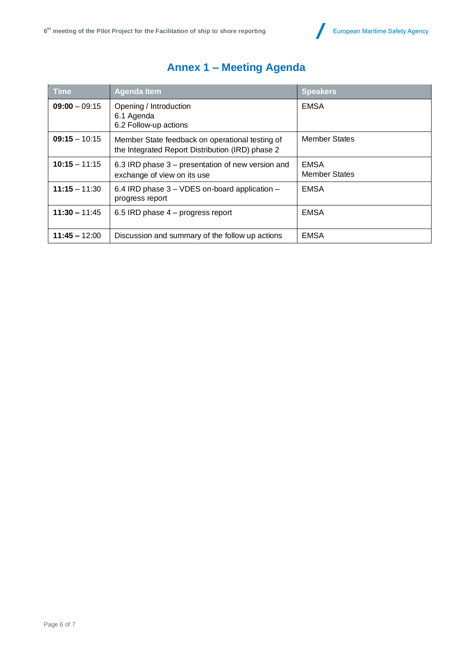

| <b>Time</b>     | <b>Agenda Item</b>                                                                                  | <b>Speakers</b>                     |
|-----------------|-----------------------------------------------------------------------------------------------------|-------------------------------------|
| $09:00 - 09:15$ | Opening / Introduction<br>6.1 Agenda<br>6.2 Follow-up actions                                       | <b>EMSA</b>                         |
| $09:15 - 10:15$ | Member State feedback on operational testing of<br>the Integrated Report Distribution (IRD) phase 2 | <b>Member States</b>                |
| $10:15 - 11:15$ | 6.3 IRD phase 3 – presentation of new version and<br>exchange of view on its use                    | <b>EMSA</b><br><b>Member States</b> |
| $11:15 - 11:30$ | 6.4 IRD phase 3 – VDES on-board application –<br>progress report                                    | <b>EMSA</b>                         |
| $11:30 - 11:45$ | 6.5 IRD phase 4 – progress report                                                                   | <b>EMSA</b>                         |
| $11:45 - 12:00$ | Discussion and summary of the follow up actions                                                     | <b>EMSA</b>                         |

# **Annex 1 – Meeting Agenda**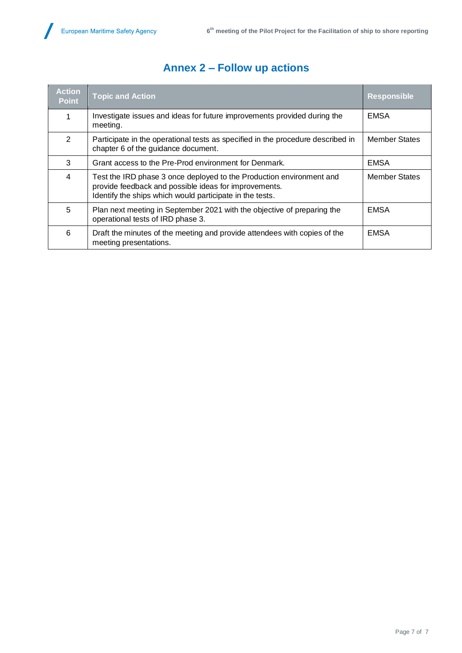$\overline{\phantom{a}}$ 

| <b>Action</b><br><b>Point</b> | <b>Topic and Action</b>                                                                                                                                                                   | <b>Responsible</b>   |
|-------------------------------|-------------------------------------------------------------------------------------------------------------------------------------------------------------------------------------------|----------------------|
| 1                             | Investigate issues and ideas for future improvements provided during the<br>meeting.                                                                                                      | <b>EMSA</b>          |
| 2                             | Participate in the operational tests as specified in the procedure described in<br>chapter 6 of the guidance document.                                                                    | <b>Member States</b> |
| 3                             | Grant access to the Pre-Prod environment for Denmark.                                                                                                                                     | <b>EMSA</b>          |
| 4                             | Test the IRD phase 3 once deployed to the Production environment and<br>provide feedback and possible ideas for improvements.<br>Identify the ships which would participate in the tests. | <b>Member States</b> |
| 5                             | Plan next meeting in September 2021 with the objective of preparing the<br>operational tests of IRD phase 3.                                                                              | <b>EMSA</b>          |
| 6                             | Draft the minutes of the meeting and provide attendees with copies of the<br>meeting presentations.                                                                                       | <b>EMSA</b>          |

## **Annex 2 – Follow up actions**